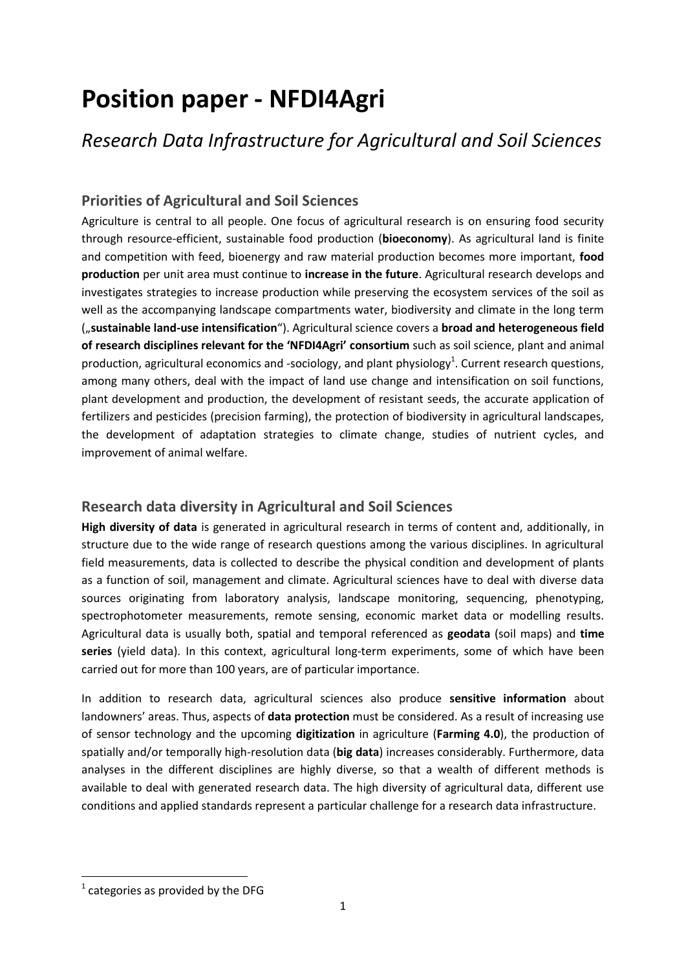# **Position paper - NFDI4Agri**

# *Research Data Infrastructure for Agricultural and Soil Sciences*

## **Priorities of Agricultural and Soil Sciences**

Agriculture is central to all people. One focus of agricultural research is on ensuring food security through resource-efficient, sustainable food production (**bioeconomy**). As agricultural land is finite and competition with feed, bioenergy and raw material production becomes more important, **food production** per unit area must continue to **increase in the future**. Agricultural research develops and investigates strategies to increase production while preserving the ecosystem services of the soil as well as the accompanying landscape compartments water, biodiversity and climate in the long term ("**sustainable land-use intensification**"). Agricultural science covers a **broad and heterogeneous field of research disciplines relevant for the 'NFDI4Agri' consortium** such as soil science, plant and animal production, agricultural economics and -sociology, and plant physiology<sup>1</sup>. Current research questions, among many others, deal with the impact of land use change and intensification on soil functions, plant development and production, the development of resistant seeds, the accurate application of fertilizers and pesticides (precision farming), the protection of biodiversity in agricultural landscapes, the development of adaptation strategies to climate change, studies of nutrient cycles, and improvement of animal welfare.

#### **Research data diversity in Agricultural and Soil Sciences**

**High diversity of data** is generated in agricultural research in terms of content and, additionally, in structure due to the wide range of research questions among the various disciplines. In agricultural field measurements, data is collected to describe the physical condition and development of plants as a function of soil, management and climate. Agricultural sciences have to deal with diverse data sources originating from laboratory analysis, landscape monitoring, sequencing, phenotyping, spectrophotometer measurements, remote sensing, economic market data or modelling results. Agricultural data is usually both, spatial and temporal referenced as **geodata** (soil maps) and **time series** (yield data). In this context, agricultural long-term experiments, some of which have been carried out for more than 100 years, are of particular importance.

In addition to research data, agricultural sciences also produce **sensitive information** about landowners' areas. Thus, aspects of **data protection** must be considered. As a result of increasing use of sensor technology and the upcoming **digitization** in agriculture (**Farming 4.0**), the production of spatially and/or temporally high-resolution data (**big data**) increases considerably. Furthermore, data analyses in the different disciplines are highly diverse, so that a wealth of different methods is available to deal with generated research data. The high diversity of agricultural data, different use conditions and applied standards represent a particular challenge for a research data infrastructure.

 $\overline{a}$ 

 $<sup>1</sup>$  categories as provided by the DFG</sup>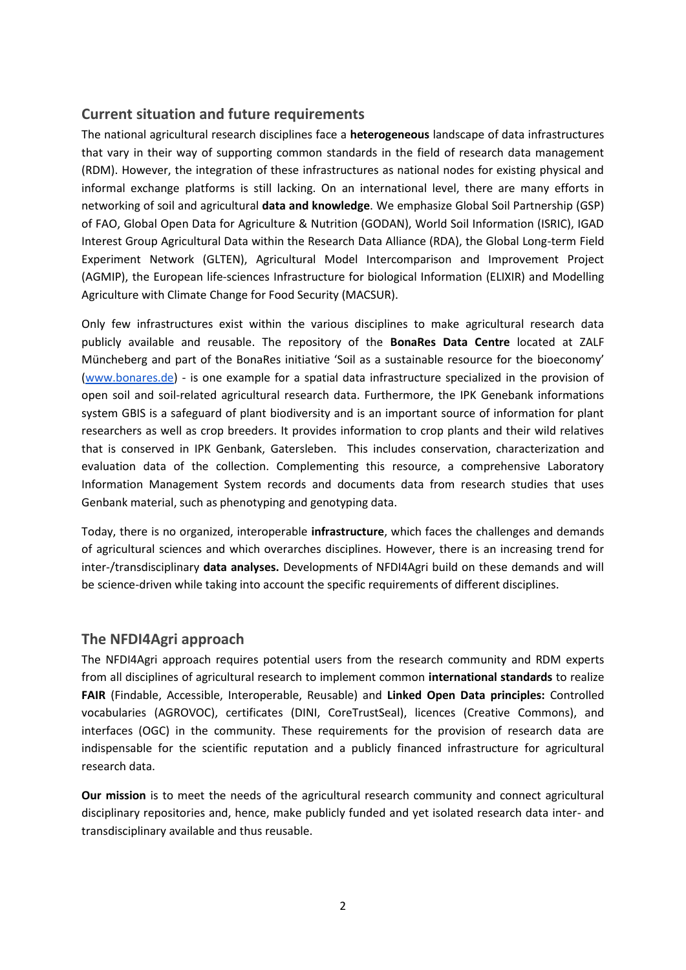#### **Current situation and future requirements**

The national agricultural research disciplines face a **heterogeneous** landscape of data infrastructures that vary in their way of supporting common standards in the field of research data management (RDM). However, the integration of these infrastructures as national nodes for existing physical and informal exchange platforms is still lacking. On an international level, there are many efforts in networking of soil and agricultural **data and knowledge**. We emphasize Global Soil Partnership (GSP) of FAO, Global Open Data for Agriculture & Nutrition (GODAN), World Soil Information (ISRIC), IGAD Interest Group Agricultural Data within the Research Data Alliance (RDA), the Global Long-term Field Experiment Network (GLTEN), Agricultural Model Intercomparison and Improvement Project (AGMIP), the European life-sciences Infrastructure for biological Information (ELIXIR) and Modelling Agriculture with Climate Change for Food Security (MACSUR).

Only few infrastructures exist within the various disciplines to make agricultural research data publicly available and reusable. The repository of the **BonaRes Data Centre** located at ZALF Müncheberg and part of the BonaRes initiative 'Soil as a sustainable resource for the bioeconomy' [\(www.bonares.de\)](https://www.bonares.de/) - is one example for a spatial data infrastructure specialized in the provision of open soil and soil-related agricultural research data. Furthermore, the IPK Genebank informations system GBIS is a safeguard of plant biodiversity and is an important source of information for plant researchers as well as crop breeders. It provides information to crop plants and their wild relatives that is conserved in IPK Genbank, Gatersleben. This includes conservation, characterization and evaluation data of the collection. Complementing this resource, a comprehensive Laboratory Information Management System records and documents data from research studies that uses Genbank material, such as phenotyping and genotyping data.

Today, there is no organized, interoperable **infrastructure**, which faces the challenges and demands of agricultural sciences and which overarches disciplines. However, there is an increasing trend for inter-/transdisciplinary **data analyses.** Developments of NFDI4Agri build on these demands and will be science-driven while taking into account the specific requirements of different disciplines.

#### **The NFDI4Agri approach**

The NFDI4Agri approach requires potential users from the research community and RDM experts from all disciplines of agricultural research to implement common **international standards** to realize **FAIR** (Findable, Accessible, Interoperable, Reusable) and **Linked Open Data principles:** Controlled vocabularies (AGROVOC), certificates (DINI, CoreTrustSeal), licences (Creative Commons), and interfaces (OGC) in the community. These requirements for the provision of research data are indispensable for the scientific reputation and a publicly financed infrastructure for agricultural research data.

**Our mission** is to meet the needs of the agricultural research community and connect agricultural disciplinary repositories and, hence, make publicly funded and yet isolated research data inter- and transdisciplinary available and thus reusable.